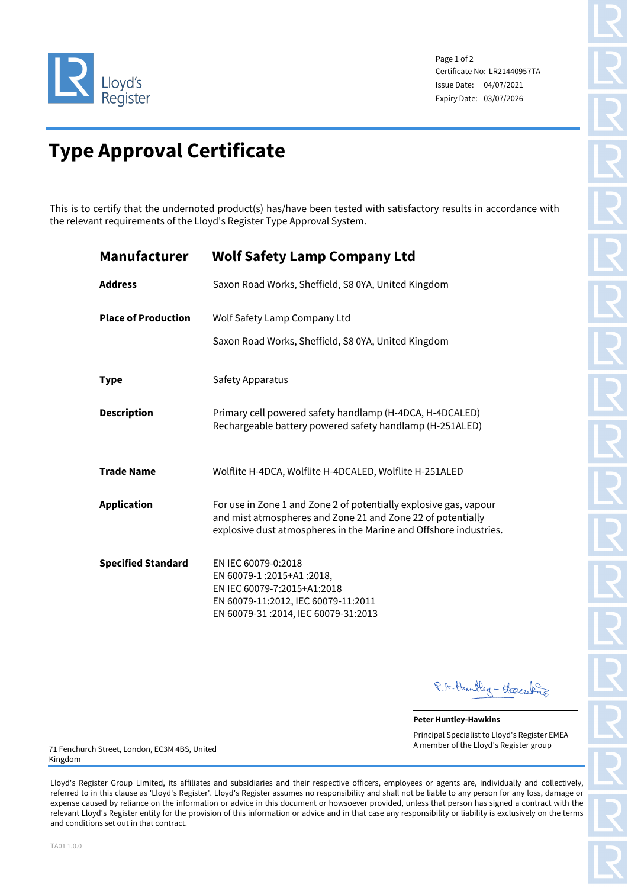

Page 1 of 2 Certificate No: LR21440957TA Issue Date: 04/07/2021 Expiry Date: 03/07/2026

# **Type Approval Certificate**

This is to certify that the undernoted product(s) has/have been tested with satisfactory results in accordance with the relevant requirements of the Lloyd's Register Type Approval System.

| Manufacturer               | <b>Wolf Safety Lamp Company Ltd</b>                                                                                                                                                                   |
|----------------------------|-------------------------------------------------------------------------------------------------------------------------------------------------------------------------------------------------------|
| <b>Address</b>             | Saxon Road Works, Sheffield, S8 0YA, United Kingdom                                                                                                                                                   |
| <b>Place of Production</b> | Wolf Safety Lamp Company Ltd                                                                                                                                                                          |
|                            | Saxon Road Works, Sheffield, S8 0YA, United Kingdom                                                                                                                                                   |
| <b>Type</b>                | Safety Apparatus                                                                                                                                                                                      |
| <b>Description</b>         | Primary cell powered safety handlamp (H-4DCA, H-4DCALED)<br>Rechargeable battery powered safety handlamp (H-251ALED)                                                                                  |
| <b>Trade Name</b>          | Wolflite H-4DCA, Wolflite H-4DCALED, Wolflite H-251ALED                                                                                                                                               |
| <b>Application</b>         | For use in Zone 1 and Zone 2 of potentially explosive gas, vapour<br>and mist atmospheres and Zone 21 and Zone 22 of potentially<br>explosive dust atmospheres in the Marine and Offshore industries. |
| <b>Specified Standard</b>  | EN IEC 60079-0:2018<br>EN 60079-1:2015+A1:2018,<br>EN IEC 60079-7:2015+A1:2018<br>EN 60079-11:2012, IEC 60079-11:2011<br>EN 60079-31:2014, IEC 60079-31:2013                                          |

P.A. Huntley - Herceling

**Peter Huntley-Hawkins** Principal Specialist to Lloyd's Register EMEA A member of the Lloyd's Register group

71 Fenchurch Street, London, EC3M 4BS, United Kingdom

Lloyd's Register Group Limited, its affiliates and subsidiaries and their respective officers, employees or agents are, individually and collectively, referred to in this clause as 'Lloyd's Register'. Lloyd's Register assumes no responsibility and shall not be liable to any person for any loss, damage or expense caused by reliance on the information or advice in this document or howsoever provided, unless that person has signed a contract with the relevant Lloyd's Register entity for the provision of this information or advice and in that case any responsibility or liability is exclusively on the terms and conditions set out in that contract.